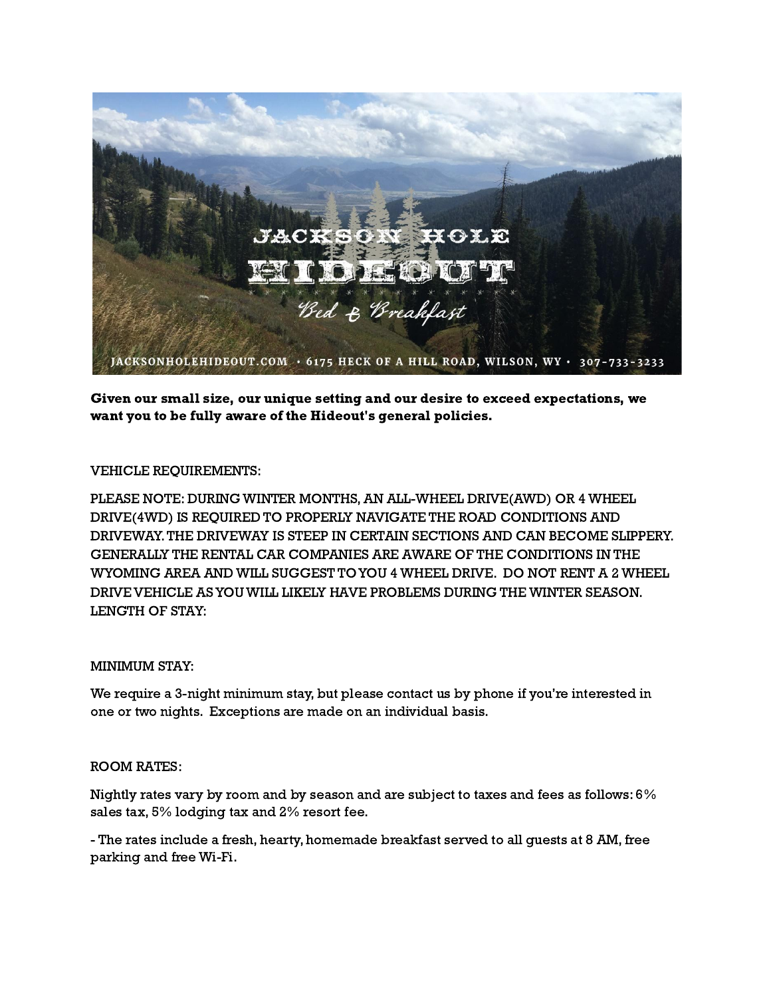

Given our small size, our unique setting and our desire to exceed expectations, we want you to be fully aware of the Hideout's general policies.

# VEHICLE REQUIREMENTS:

PLEASE NOTE: DURING WINTER MONTHS,AN ALL-WHEEL DRIVE(AWD) OR 4 WHEEL DRIVE(4WD) IS REQUIRED TO PROPERLY NAVIGATE THE ROAD CONDITIONS AND DRIVEWAY.THE DRIVEWAY IS STEEP IN CERTAIN SECTIONS AND CAN BECOME SLIPPERY. GENERALLY THE RENTAL CAR COMPANIES ARE AWARE OF THE CONDITIONS IN THE WYOMING AREA AND WILL SUGGEST TO YOU 4 WHEEL DRIVE. DO NOT RENT A 2 WHEEL DRIVE VEHICLE ASYOU WILL LIKELY HAVE PROBLEMS DURING THE WINTER SEASON. LENGTH OF STAY:

### MINIMUM STAY:

We require a 3-night minimum stay, but please contact us by phone if you're interested in one or two nights. Exceptions are made on an individual basis.

### ROOM RATES:

Nightly rates vary by room and by season and are subject to taxes and fees as follows: 6% sales tax, 5% lodging tax and 2% resort fee.

- The rates include a fresh, hearty, homemade breakfast served to all guests at 8 AM, free parking and free Wi-Fi.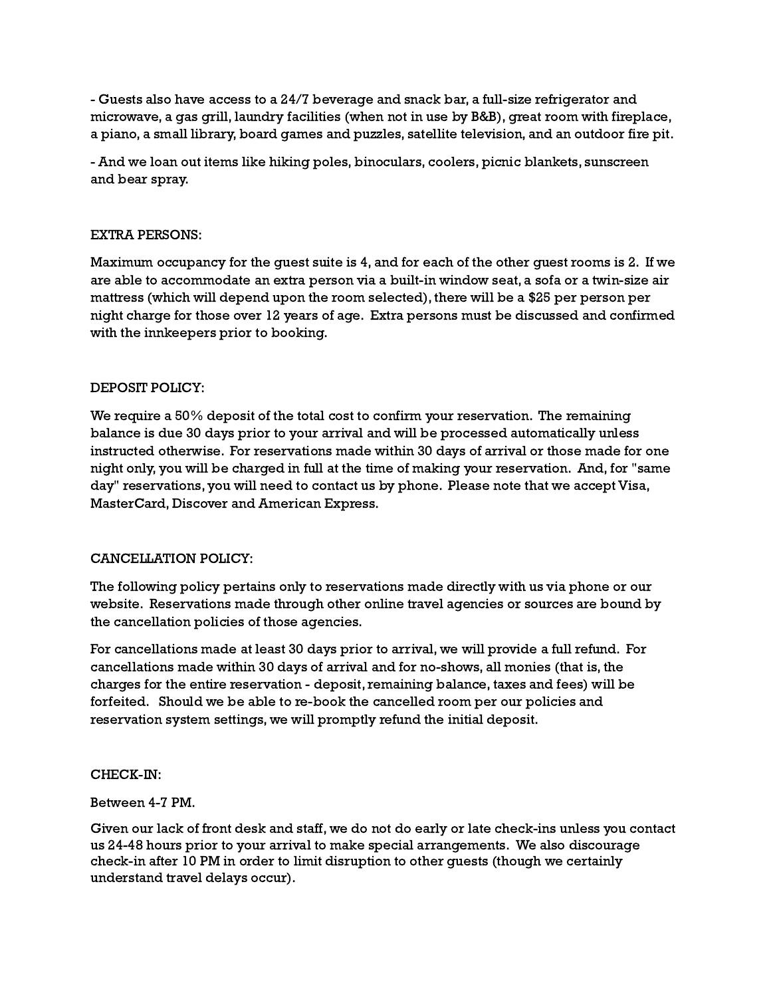- Guests also have access to a 24/7 beverage and snack bar, a full-size refrigerator and microwave, a gas grill, laundry facilities (when not in use by B&B), great room with fireplace, a piano, a small library, board games and puzzles, satellite television, and an outdoor fire pit.

- And we loan out items like hiking poles, binoculars, coolers, picnic blankets, sunscreen and bear spray.

### EXTRA PERSONS:

Maximum occupancy for the guest suite is 4, and for each of the other guest rooms is 2. If we are able to accommodate an extra person via a built-in window seat, a sofa or a twin-size air mattress (which will depend upon the room selected), there will be a \$25 per person per night charge for those over 12 years of age. Extra persons must be discussed and confirmed with the innkeepers prior to booking.

# DEPOSIT POLICY:

We require a 50% deposit of the total cost to confirm your reservation. The remaining balance is due 30 days prior to your arrival and will be processed automatically unless instructed otherwise. For reservations made within 30 days of arrival or those made for one night only, you will be charged in full at the time of making your reservation. And, for "same day" reservations, you will need to contact us by phone. Please note that we accept Visa, MasterCard, Discover and American Express.

### CANCELLATION POLICY:

The following policy pertains only to reservations made directly with us via phone or our website. Reservations made through other online travel agencies or sources are bound by the cancellation policies of those agencies.

For cancellations made at least 30 days prior to arrival, we will provide a full refund. For cancellations made within 30 days of arrival and for no-shows, all monies (that is, the charges for the entire reservation - deposit, remaining balance, taxes and fees) will be forfeited. Should we be able to re-book the cancelled room per our policies and reservation system settings, we will promptly refund the initial deposit.

### CHECK-IN:

### Between 4-7 PM.

Given our lack of front desk and staff, we do not do early or late check-ins unless you contact us 24-48 hours prior to your arrival to make special arrangements. We also discourage check-in after 10 PM in order to limit disruption to other guests (though we certainly understand travel delays occur).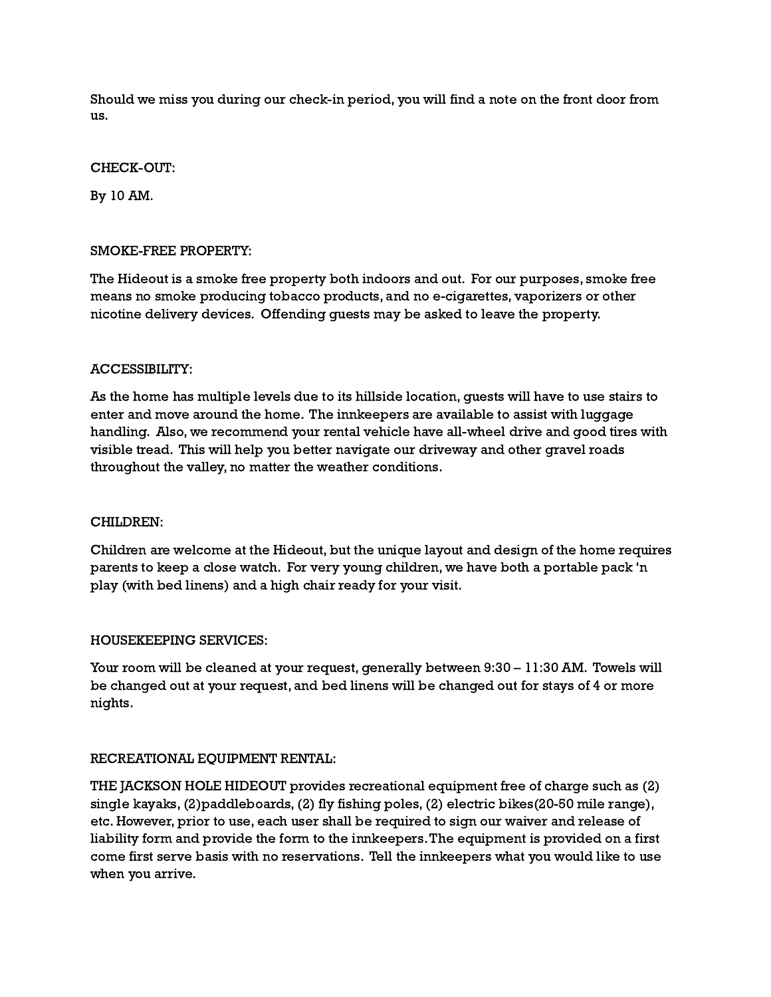Should we miss you during our check-in period, you will find a note on the front door from us.

#### CHECK-OUT:

By 10 AM.

### SMOKE-FREE PROPERTY:

The Hideout is a smoke free property both indoors and out. For our purposes, smoke free means no smoke producing tobacco products, and no e-cigarettes, vaporizers or other nicotine delivery devices. Offending guests may be asked to leave the property.

### ACCESSIBILITY:

As the home has multiple levels due to its hillside location, guests will have to use stairs to enter and move around the home. The innkeepers are available to assist with luggage handling. Also, we recommend your rental vehicle have all-wheel drive and good tires with visible tread. This will help you better navigate our driveway and other gravel roads throughout the valley, no matter the weather conditions.

### CHILDREN:

Children are welcome at the Hideout, but the unique layout and design of the home requires parents to keep a close watch. For very young children, we have both a portable pack 'n play (with bed linens) and a high chair ready for your visit.

### HOUSEKEEPING SERVICES:

Your room will be cleaned at your request, generally between 9:30 – 11:30 AM. Towels will be changed out at your request, and bed linens will be changed out for stays of 4 or more nights.

### RECREATIONAL EQUIPMENT RENTAL:

THE JACKSON HOLE HIDEOUT provides recreational equipment free of charge such as (2) single kayaks,(2)paddleboards,(2) fly fishing poles,(2) electric bikes(20-50 mile range), etc. However, prior to use, each user shall be required to sign our waiver and release of liability form and provide the form to the innkeepers.The equipment is provided on a first come first serve basis with no reservations. Tell the innkeepers what you would like to use when you arrive.